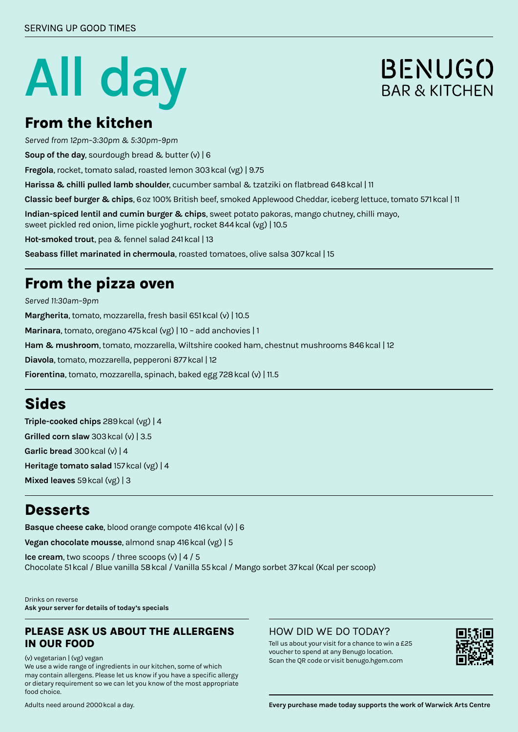# **All day**

# **BENUGO** BAR & KITCHEN

#### **From the kitchen**

*Served from 12pm–3:30pm & 5:30pm–9pm*

**Soup of the day**, sourdough bread & butter (v) | 6

**Fregola**, rocket, tomato salad, roasted lemon 303kcal (vg) | 9.75

**Harissa & chilli pulled lamb shoulder**, cucumber sambal & tzatziki on flatbread 648kcal | 11

**Classic beef burger & chips**, 6oz 100% British beef, smoked Applewood Cheddar, iceberg lettuce, tomato 571kcal | 11

**Indian-spiced lentil and cumin burger & chips**, sweet potato pakoras, mango chutney, chilli mayo, sweet pickled red onion, lime pickle yoghurt, rocket 844kcal (vg) | 10.5

**Hot-smoked trout**, pea & fennel salad 241kcal | 13

**Seabass fillet marinated in chermoula**, roasted tomatoes, olive salsa 307kcal | 15

#### **From the pizza oven**

*Served 11:30am–9pm* **Margherita**, tomato, mozzarella, fresh basil 651kcal (v) | 10.5 **Marinara**, tomato, oregano 475kcal (vg) | 10 – add anchovies | 1 **Ham & mushroom**, tomato, mozzarella, Wiltshire cooked ham, chestnut mushrooms 846kcal | 12 **Diavola**, tomato, mozzarella, pepperoni 877kcal | 12 Fiorentina, tomato, mozzarella, spinach, baked egg 728 kcal (v) | 11.5

## **Sides**

**Triple-cooked chips** 289kcal (vg) | 4 **Grilled corn slaw** 303kcal (v) | 3.5 **Garlic bread** 300kcal (v) | 4 **Heritage tomato salad** 157kcal (vg) | 4 **Mixed leaves** 59kcal (vg) | 3

#### **Desserts**

**Basque cheese cake**, blood orange compote 416kcal (v) | 6

**Vegan chocolate mousse**, almond snap 416kcal (vg) | 5

**Ice cream**, two scoops / three scoops (v) | 4 / 5 Chocolate 51kcal / Blue vanilla 58kcal / Vanilla 55kcal / Mango sorbet 37kcal (Kcal per scoop)

Drinks on reverse **Ask your server for details of today's specials**

#### **PLEASE ASK US ABOUT THE ALLERGENS IN OUR FOOD**

(v) vegetarian | (vg) vegan

We use a wide range of ingredients in our kitchen, some of which may contain allergens. Please let us know if you have a specific allergy or dietary requirement so we can let you know of the most appropriate food choice.

#### HOW DID WE DO TODAY?

Tell us about your visit for a chance to win a £25 voucher to spend at any Benugo location. Scan the QR code or visit benugo.hgem.com



**Every purchase made today supports the work of Warwick Arts Centre**